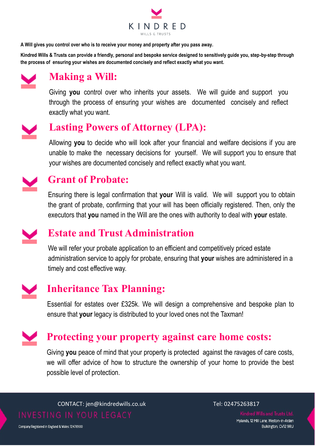

**A Will gives you control over who is to receive your money and property after you pass away.** 

**Kindred Wills & Trusts can provide a friendly, personal and bespoke service designed to sensitively guide you, step-by-step through the process of ensuring your wishes are documented concisely and reflect exactly what you want.** 



#### **Making a Will:**

Giving **you** control over who inherits your assets. We will guide and support you through the process of ensuring your wishes are documented concisely and reflect exactly what you want.

# **Lasting Powers of Attorney (LPA):**

Allowing **you** to decide who will look after your financial and welfare decisions if you are unable to make the necessary decisions for yourself. We will support you to ensure that your wishes are documented concisely and reflect exactly what you want.



#### **Grant of Probate:**

Ensuring there is legal confirmation that **your** Will is valid. We will support you to obtain the grant of probate, confirming that your will has been officially registered. Then, only the executors that **you** named in the Will are the ones with authority to deal with **your** estate.

### **Estate and Trust Administration**

We will refer your probate application to an efficient and competitively priced estate administration service to apply for probate, ensuring that **your** wishes are administered in a timely and cost effective way.

# **Inheritance Tax Planning:**

Essential for estates over £325k. We will design a comprehensive and bespoke plan to ensure that **your** legacy is distributed to your loved ones not the Taxman!

# **Protecting your property against care home costs:**

Giving **you** peace of mind that your property is protected against the ravages of care costs, we will offer advice of how to structure the ownership of your home to provide the best possible level of protection.

CONTACT: jen@kindredwills.co.uk Tel: 02475263817

Mylands, 12 Mill Lane, Weston-in-Arden Bulkington, CV12 9RU

Company Registered in England & Wales: 12476900